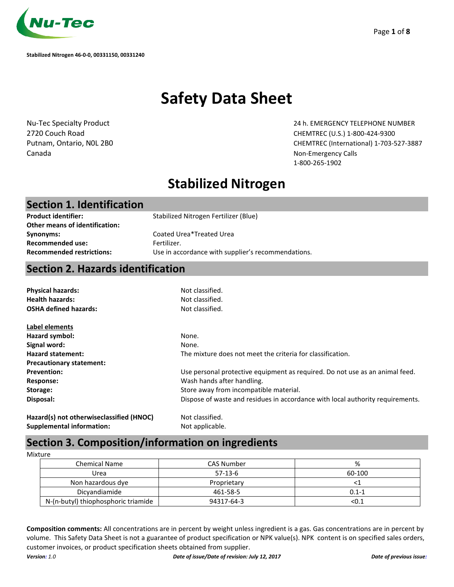

# **Safety Data Sheet**

Canada Non-Emergency Calls and Canada Non-Emergency Calls and Canada Non-Emergency Calls and Calls and Calls and Calls and Calls and Calls and Calls and Calls and Calls and Calls and Calls and Calls and Calls and Calls and

Nu-Tec Specialty Product 24 h. EMERGENCY TELEPHONE NUMBER 2720 Couch Road CHEMTREC (U.S.) 1-800-424-9300 Putnam, Ontario, N0L 2B0 CHEMTREC (International) 1-703-527-3887 1-800-265-1902

## **Stabilized Nitrogen**

### **Section 1. Identification**

Stabilized Nitrogen Fertilizer (Blue)

**Other means of identification: Synonyms: Recommended use:**

**Product identifier:**

Coated Urea\*Treated Urea Fertilizer. **Recommended restrictions:** Use in accordance with supplier's recommendations.

## **Section 2. Hazards identification**

| <b>Physical hazards:</b>                                    | Not classified.                                                                |  |
|-------------------------------------------------------------|--------------------------------------------------------------------------------|--|
| <b>Health hazards:</b><br>Not classified.                   |                                                                                |  |
| <b>OSHA defined hazards:</b>                                | Not classified.                                                                |  |
| Label elements                                              |                                                                                |  |
| Hazard symbol:                                              | None.                                                                          |  |
| Signal word:                                                | None.                                                                          |  |
| <b>Hazard statement:</b>                                    | The mixture does not meet the criteria for classification.                     |  |
| <b>Precautionary statement:</b>                             |                                                                                |  |
| <b>Prevention:</b>                                          | Use personal protective equipment as required. Do not use as an animal feed.   |  |
| <b>Response:</b>                                            | Wash hands after handling.                                                     |  |
| Storage:                                                    | Store away from incompatible material.                                         |  |
| Disposal:                                                   | Dispose of waste and residues in accordance with local authority requirements. |  |
| $\mathbf{a}$ . The contract of the contract of $\mathbf{a}$ |                                                                                |  |

**Hazard(s) not otherwiseclassified (HNOC) Supplemental information:** 

Not classified. Not applicable.

## **Section 3. Composition/information on ingredients**

Mixture

| <b>Chemical Name</b>                | <b>CAS Number</b> | %         |
|-------------------------------------|-------------------|-----------|
| Urea                                | $57-13-6$         | 60-100    |
| Non hazardous dye                   | Proprietary       |           |
| Dicyandiamide                       | 461-58-5          | $0.1 - 1$ |
| N-(n-butyl) thiophosphoric triamide | 94317-64-3        | < 0.1     |

**Composition comments:** All concentrations are in percent by weight unless ingredient is a gas. Gas concentrations are in percent by volume. This Safety Data Sheet is not a guarantee of product specification or NPK value(s). NPK content is on specified sales orders, customer invoices, or product specification sheets obtained from supplier.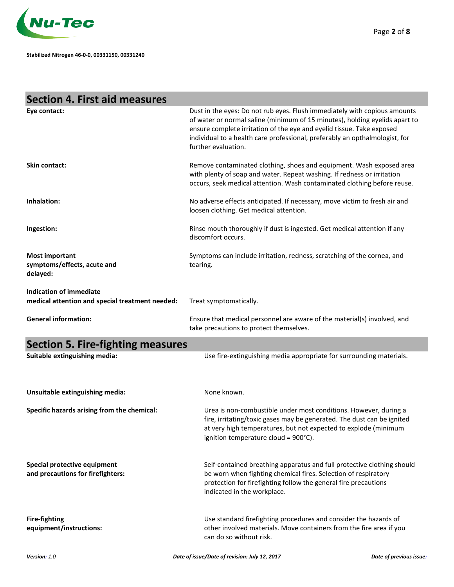

| <b>Section 4. First aid measures</b>                                       |                                                                                                                                                                                                                                                                                                                                         |
|----------------------------------------------------------------------------|-----------------------------------------------------------------------------------------------------------------------------------------------------------------------------------------------------------------------------------------------------------------------------------------------------------------------------------------|
| Eye contact:                                                               | Dust in the eyes: Do not rub eyes. Flush immediately with copious amounts<br>of water or normal saline (minimum of 15 minutes), holding eyelids apart to<br>ensure complete irritation of the eye and eyelid tissue. Take exposed<br>individual to a health care professional, preferably an opthalmologist, for<br>further evaluation. |
| Skin contact:                                                              | Remove contaminated clothing, shoes and equipment. Wash exposed area<br>with plenty of soap and water. Repeat washing. If redness or irritation<br>occurs, seek medical attention. Wash contaminated clothing before reuse.                                                                                                             |
| Inhalation:                                                                | No adverse effects anticipated. If necessary, move victim to fresh air and<br>loosen clothing. Get medical attention.                                                                                                                                                                                                                   |
| Ingestion:                                                                 | Rinse mouth thoroughly if dust is ingested. Get medical attention if any<br>discomfort occurs.                                                                                                                                                                                                                                          |
| <b>Most important</b><br>symptoms/effects, acute and<br>delayed:           | Symptoms can include irritation, redness, scratching of the cornea, and<br>tearing.                                                                                                                                                                                                                                                     |
| Indication of immediate<br>medical attention and special treatment needed: | Treat symptomatically.                                                                                                                                                                                                                                                                                                                  |
| <b>General information:</b>                                                | Ensure that medical personnel are aware of the material(s) involved, and<br>take precautions to protect themselves.                                                                                                                                                                                                                     |
|                                                                            |                                                                                                                                                                                                                                                                                                                                         |
| <b>Section 5. Fire-fighting measures</b>                                   |                                                                                                                                                                                                                                                                                                                                         |
| Suitable extinguishing media:                                              | Use fire-extinguishing media appropriate for surrounding materials.                                                                                                                                                                                                                                                                     |
| Unsuitable extinguishing media:                                            | None known.                                                                                                                                                                                                                                                                                                                             |
| Specific hazards arising from the chemical:                                | Urea is non-combustible under most conditions. However, during a<br>fire, irritating/toxic gases may be generated. The dust can be ignited<br>at very high temperatures, but not expected to explode (minimum<br>ignition temperature cloud = 900°C).                                                                                   |
| Special protective equipment<br>and precautions for firefighters:          | Self-contained breathing apparatus and full protective clothing should<br>be worn when fighting chemical fires. Selection of respiratory<br>protection for firefighting follow the general fire precautions<br>indicated in the workplace.                                                                                              |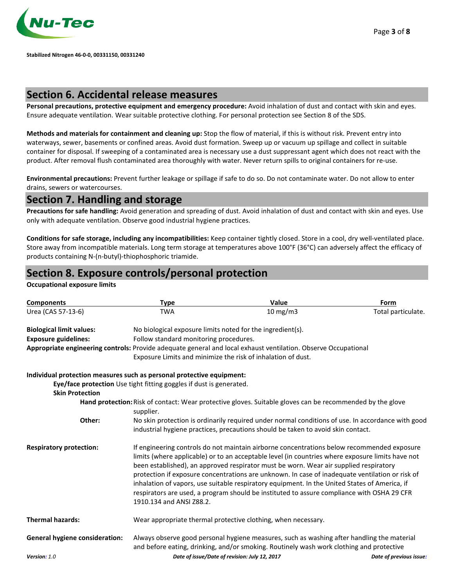

### **Section 6. Accidental release measures**

**Personal precautions, protective equipment and emergency procedure:** Avoid inhalation of dust and contact with skin and eyes. Ensure adequate ventilation. Wear suitable protective clothing. For personal protection see Section 8 of the SDS.

**Methods and materials for containment and cleaning up:** Stop the flow of material, if this is without risk. Prevent entry into waterways, sewer, basements or confined areas. Avoid dust formation. Sweep up or vacuum up spillage and collect in suitable container for disposal. If sweeping of a contaminated area is necessary use a dust suppressant agent which does not react with the product. After removal flush contaminated area thoroughly with water. Never return spills to original containers for re-use.

**Environmental precautions:** Prevent further leakage or spillage if safe to do so. Do not contaminate water. Do not allow to enter drains, sewers or watercourses.

### **Section 7. Handling and storage**

**Precautions for safe handling:** Avoid generation and spreading of dust. Avoid inhalation of dust and contact with skin and eyes. Use only with adequate ventilation. Observe good industrial hygiene practices.

**Conditions for safe storage, including any incompatibilities:** Keep container tightly closed. Store in a cool, dry well-ventilated place. Store away from incompatible materials. Long term storage at temperatures above 100°F (36°C) can adversely affect the efficacy of products containing N-(n-butyl)-thiophosphoric triamide.

### **Section 8. Exposure controls/personal protection**

#### **Occupational exposure limits**

| <b>Components</b>                                                     | <b>Type</b>                                                                                                                                                                                                                                                                                                                                                                                                                                                                                                                                                                                                           | Value                                                                                                                                                                                  | Form                    |
|-----------------------------------------------------------------------|-----------------------------------------------------------------------------------------------------------------------------------------------------------------------------------------------------------------------------------------------------------------------------------------------------------------------------------------------------------------------------------------------------------------------------------------------------------------------------------------------------------------------------------------------------------------------------------------------------------------------|----------------------------------------------------------------------------------------------------------------------------------------------------------------------------------------|-------------------------|
| Urea (CAS 57-13-6)                                                    | <b>TWA</b>                                                                                                                                                                                                                                                                                                                                                                                                                                                                                                                                                                                                            | 10 mg/m3                                                                                                                                                                               | Total particulate.      |
| <b>Biological limit values:</b>                                       |                                                                                                                                                                                                                                                                                                                                                                                                                                                                                                                                                                                                                       | No biological exposure limits noted for the ingredient(s).                                                                                                                             |                         |
| <b>Exposure guidelines:</b>                                           | Follow standard monitoring procedures.                                                                                                                                                                                                                                                                                                                                                                                                                                                                                                                                                                                |                                                                                                                                                                                        |                         |
|                                                                       |                                                                                                                                                                                                                                                                                                                                                                                                                                                                                                                                                                                                                       | Appropriate engineering controls: Provide adequate general and local exhaust ventilation. Observe Occupational                                                                         |                         |
|                                                                       |                                                                                                                                                                                                                                                                                                                                                                                                                                                                                                                                                                                                                       | Exposure Limits and minimize the risk of inhalation of dust.                                                                                                                           |                         |
| Individual protection measures such as personal protective equipment: |                                                                                                                                                                                                                                                                                                                                                                                                                                                                                                                                                                                                                       |                                                                                                                                                                                        |                         |
|                                                                       | Eye/face protection Use tight fitting goggles if dust is generated.                                                                                                                                                                                                                                                                                                                                                                                                                                                                                                                                                   |                                                                                                                                                                                        |                         |
| <b>Skin Protection</b>                                                |                                                                                                                                                                                                                                                                                                                                                                                                                                                                                                                                                                                                                       |                                                                                                                                                                                        |                         |
|                                                                       | supplier.                                                                                                                                                                                                                                                                                                                                                                                                                                                                                                                                                                                                             | Hand protection: Risk of contact: Wear protective gloves. Suitable gloves can be recommended by the glove                                                                              |                         |
| Other:                                                                |                                                                                                                                                                                                                                                                                                                                                                                                                                                                                                                                                                                                                       | No skin protection is ordinarily required under normal conditions of use. In accordance with good<br>industrial hygiene practices, precautions should be taken to avoid skin contact.  |                         |
| <b>Respiratory protection:</b>                                        | If engineering controls do not maintain airborne concentrations below recommended exposure<br>limits (where applicable) or to an acceptable level (in countries where exposure limits have not<br>been established), an approved respirator must be worn. Wear air supplied respiratory<br>protection if exposure concentrations are unknown. In case of inadequate ventilation or risk of<br>inhalation of vapors, use suitable respiratory equipment. In the United States of America, if<br>respirators are used, a program should be instituted to assure compliance with OSHA 29 CFR<br>1910.134 and ANSI Z88.2. |                                                                                                                                                                                        |                         |
| <b>Thermal hazards:</b>                                               |                                                                                                                                                                                                                                                                                                                                                                                                                                                                                                                                                                                                                       | Wear appropriate thermal protective clothing, when necessary.                                                                                                                          |                         |
| <b>General hygiene consideration:</b>                                 |                                                                                                                                                                                                                                                                                                                                                                                                                                                                                                                                                                                                                       | Always observe good personal hygiene measures, such as washing after handling the material<br>and before eating, drinking, and/or smoking. Routinely wash work clothing and protective |                         |
| Version: 1.0                                                          |                                                                                                                                                                                                                                                                                                                                                                                                                                                                                                                                                                                                                       | Date of issue/Date of revision: July 12, 2017                                                                                                                                          | Date of previous issue: |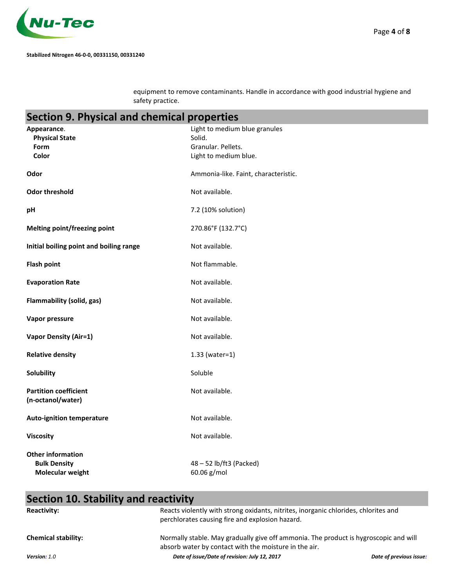

equipment to remove contaminants. Handle in accordance with good industrial hygiene and safety practice.

# **Section 9. Physical and chemical properties**

| Appearance.                                                         | Light to medium blue granules          |
|---------------------------------------------------------------------|----------------------------------------|
| <b>Physical State</b><br>Form                                       | Solid.<br>Granular. Pellets.           |
| Color                                                               | Light to medium blue.                  |
|                                                                     |                                        |
| Odor                                                                | Ammonia-like. Faint, characteristic.   |
| <b>Odor threshold</b>                                               | Not available.                         |
| pH                                                                  | 7.2 (10% solution)                     |
| <b>Melting point/freezing point</b>                                 | 270.86°F (132.7°C)                     |
| Initial boiling point and boiling range                             | Not available.                         |
| <b>Flash point</b>                                                  | Not flammable.                         |
| <b>Evaporation Rate</b>                                             | Not available.                         |
| Flammability (solid, gas)                                           | Not available.                         |
| Vapor pressure                                                      | Not available.                         |
| <b>Vapor Density (Air=1)</b>                                        | Not available.                         |
| <b>Relative density</b>                                             | $1.33$ (water=1)                       |
| Solubility                                                          | Soluble                                |
| <b>Partition coefficient</b><br>(n-octanol/water)                   | Not available.                         |
| <b>Auto-ignition temperature</b>                                    | Not available.                         |
| <b>Viscosity</b>                                                    | Not available.                         |
| <b>Other information</b><br><b>Bulk Density</b><br>Molecular weight | 48 - 52 lb/ft3 (Packed)<br>60.06 g/mol |

# **Section 10. Stability and reactivity**

| <b>Reactivity:</b>         | Reacts violently with strong oxidants, nitrites, inorganic chlorides, chlorites and<br>perchlorates causing fire and explosion hazard.        |                         |
|----------------------------|-----------------------------------------------------------------------------------------------------------------------------------------------|-------------------------|
| <b>Chemical stability:</b> | Normally stable. May gradually give off ammonia. The product is hygroscopic and will<br>absorb water by contact with the moisture in the air. |                         |
| Version: 1.0               | Date of issue/Date of revision: July 12, 2017                                                                                                 | Date of previous issue: |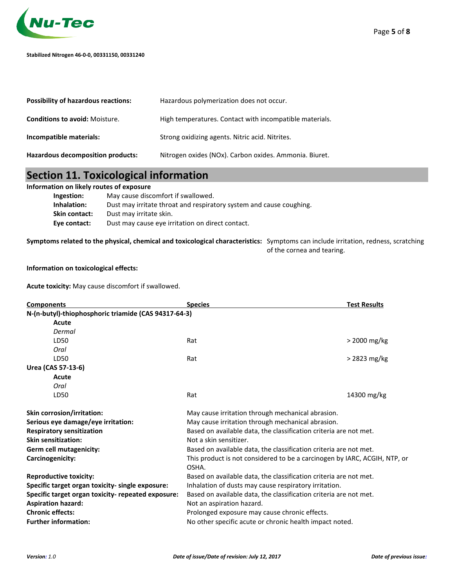

| <b>Possibility of hazardous reactions:</b> | Hazardous polymerization does not occur.                |
|--------------------------------------------|---------------------------------------------------------|
| <b>Conditions to avoid: Moisture.</b>      | High temperatures. Contact with incompatible materials. |
| Incompatible materials:                    | Strong oxidizing agents. Nitric acid. Nitrites.         |
| Hazardous decomposition products:          | Nitrogen oxides (NOx). Carbon oxides. Ammonia. Biuret.  |

### **Section 11. Toxicological information**

#### **Information on likely routes of exposure**

| Ingestion:    | May cause discomfort if swallowed.                                  |
|---------------|---------------------------------------------------------------------|
| Inhalation:   | Dust may irritate throat and respiratory system and cause coughing. |
| Skin contact: | Dust may irritate skin.                                             |
| Eye contact:  | Dust may cause eye irritation on direct contact.                    |
|               |                                                                     |

**Symptoms related to the physical, chemical and toxicological characteristics:** Symptoms can include irritation, redness, scratching of the cornea and tearing.

#### **Information on toxicological effects:**

**Acute toxicity:** May cause discomfort if swallowed.

| <b>Components</b>                                    | <b>Species</b>                                                                     | <b>Test Results</b> |
|------------------------------------------------------|------------------------------------------------------------------------------------|---------------------|
| N-(n-butyl)-thiophosphoric triamide (CAS 94317-64-3) |                                                                                    |                     |
| Acute                                                |                                                                                    |                     |
| Dermal                                               |                                                                                    |                     |
| LD50                                                 | Rat                                                                                | > 2000 mg/kg        |
| Oral                                                 |                                                                                    |                     |
| LD50                                                 | Rat                                                                                | > 2823 mg/kg        |
| Urea (CAS 57-13-6)                                   |                                                                                    |                     |
| Acute                                                |                                                                                    |                     |
| Oral                                                 |                                                                                    |                     |
| LD50                                                 | Rat                                                                                | 14300 mg/kg         |
| Skin corrosion/irritation:                           | May cause irritation through mechanical abrasion.                                  |                     |
| Serious eye damage/eye irritation:                   | May cause irritation through mechanical abrasion.                                  |                     |
| <b>Respiratory sensitization</b>                     | Based on available data, the classification criteria are not met.                  |                     |
| <b>Skin sensitization:</b>                           | Not a skin sensitizer.                                                             |                     |
| Germ cell mutagenicity:                              | Based on available data, the classification criteria are not met.                  |                     |
| Carcinogenicity:                                     | This product is not considered to be a carcinogen by IARC, ACGIH, NTP, or<br>OSHA. |                     |
| <b>Reproductive toxicity:</b>                        | Based on available data, the classification criteria are not met.                  |                     |
| Specific target organ toxicity- single exposure:     | Inhalation of dusts may cause respiratory irritation.                              |                     |
| Specific target organ toxicity- repeated exposure:   | Based on available data, the classification criteria are not met.                  |                     |
| <b>Aspiration hazard:</b>                            | Not an aspiration hazard.                                                          |                     |
| <b>Chronic effects:</b>                              | Prolonged exposure may cause chronic effects.                                      |                     |
| <b>Further information:</b>                          | No other specific acute or chronic health impact noted.                            |                     |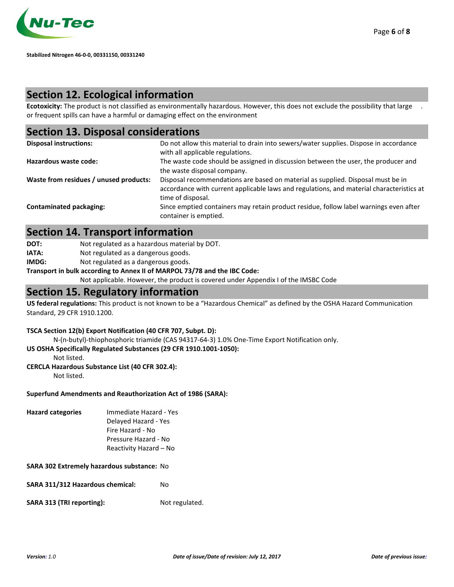

### **Section 12. Ecological information**

**Ecotoxicity:** The product is not classified as environmentally hazardous. However, this does not exclude the possibility that large or frequent spills can have a harmful or damaging effect on the environment .

### **Section 13. Disposal considerations**

| <b>Disposal instructions:</b>          | Do not allow this material to drain into sewers/water supplies. Dispose in accordance<br>with all applicable regulations.                                                                        |
|----------------------------------------|--------------------------------------------------------------------------------------------------------------------------------------------------------------------------------------------------|
| Hazardous waste code:                  | The waste code should be assigned in discussion between the user, the producer and<br>the waste disposal company.                                                                                |
| Waste from residues / unused products: | Disposal recommendations are based on material as supplied. Disposal must be in<br>accordance with current applicable laws and regulations, and material characteristics at<br>time of disposal. |
| <b>Contaminated packaging:</b>         | Since emptied containers may retain product residue, follow label warnings even after<br>container is emptied.                                                                                   |

### **Section 14. Transport information**

**DOT:** Not regulated as a hazardous material by DOT.

IATA: Not regulated as a dangerous goods.

**IMDG:** Not regulated as a dangerous goods.

**Transport in bulk according to Annex II of MARPOL 73/78 and the IBC Code:** 

Not applicable. However, the product is covered under Appendix I of the IMSBC Code

#### **Section 15. Regulatory information**

**US federal regulations:** This product is not known to be a "Hazardous Chemical" as defined by the OSHA Hazard Communication Standard, 29 CFR 1910.1200.

#### **TSCA Section 12(b) Export Notification (40 CFR 707, Subpt. D):**

N-(n-butyl)-thiophosphoric triamide (CAS 94317-64-3) 1.0% One-Time Export Notification only.

**US OSHA Specifically Regulated Substances (29 CFR 1910.1001-1050):** 

Not listed.

#### **CERCLA Hazardous Substance List (40 CFR 302.4):**

Not listed.

#### **Superfund Amendments and Reauthorization Act of 1986 (SARA):**

**Hazard categories** Immediate Hazard - Yes Delayed Hazard - Yes Fire Hazard - No Pressure Hazard - No Reactivity Hazard – No

#### **SARA 302 Extremely hazardous substance:** No

**SARA 311/312 Hazardous chemical:** No

**SARA 313 (TRI reporting):** Not regulated.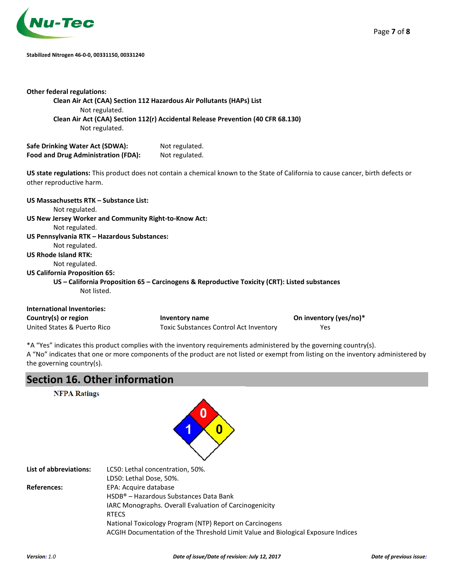

#### **Stabilized Nitrogen 46-0-0, 00331150, 00331240**

| <b>Other federal regulations:</b><br>Not regulated.<br>Not regulated.   | Clean Air Act (CAA) Section 112 Hazardous Air Pollutants (HAPs) List<br>Clean Air Act (CAA) Section 112(r) Accidental Release Prevention (40 CFR 68.130) |                        |
|-------------------------------------------------------------------------|----------------------------------------------------------------------------------------------------------------------------------------------------------|------------------------|
| Safe Drinking Water Act (SDWA):                                         | Not regulated.                                                                                                                                           |                        |
| Food and Drug Administration (FDA):                                     | Not regulated.                                                                                                                                           |                        |
| other reproductive harm.                                                | US state regulations: This product does not contain a chemical known to the State of California to cause cancer, birth defects or                        |                        |
| US Massachusetts RTK - Substance List:                                  |                                                                                                                                                          |                        |
| Not regulated.<br>US New Jersey Worker and Community Right-to-Know Act: |                                                                                                                                                          |                        |
| Not regulated.                                                          |                                                                                                                                                          |                        |
| US Pennsylvania RTK - Hazardous Substances:                             |                                                                                                                                                          |                        |
| Not regulated.                                                          |                                                                                                                                                          |                        |
| <b>US Rhode Island RTK:</b>                                             |                                                                                                                                                          |                        |
| Not regulated.                                                          |                                                                                                                                                          |                        |
| <b>US California Proposition 65:</b>                                    |                                                                                                                                                          |                        |
| Not listed.                                                             | US – California Proposition 65 – Carcinogens & Reproductive Toxicity (CRT): Listed substances                                                            |                        |
| <b>International Inventories:</b>                                       |                                                                                                                                                          |                        |
| Country(s) or region                                                    | Inventory name                                                                                                                                           | On inventory (yes/no)* |
| United States & Puerto Rico                                             | <b>Toxic Substances Control Act Inventory</b>                                                                                                            | Yes                    |

\*A "Yes" indicates this product complies with the inventory requirements administered by the governing country(s). A "No" indicates that one or more components of the product are not listed or exempt from listing on the inventory administered by the governing country(s).

## **Section 16. Other information**

**NFPA Ratings** 



| <b>List of abbreviations:</b> | LC50: Lethal concentration, 50%.                                                 |
|-------------------------------|----------------------------------------------------------------------------------|
|                               | LD50: Lethal Dose, 50%.                                                          |
| <b>References:</b>            | EPA: Acquire database                                                            |
|                               | HSDB® – Hazardous Substances Data Bank                                           |
|                               | <b>IARC Monographs. Overall Evaluation of Carcinogenicity</b>                    |
|                               | <b>RTECS</b>                                                                     |
|                               | National Toxicology Program (NTP) Report on Carcinogens                          |
|                               | ACGIH Documentation of the Threshold Limit Value and Biological Exposure Indices |